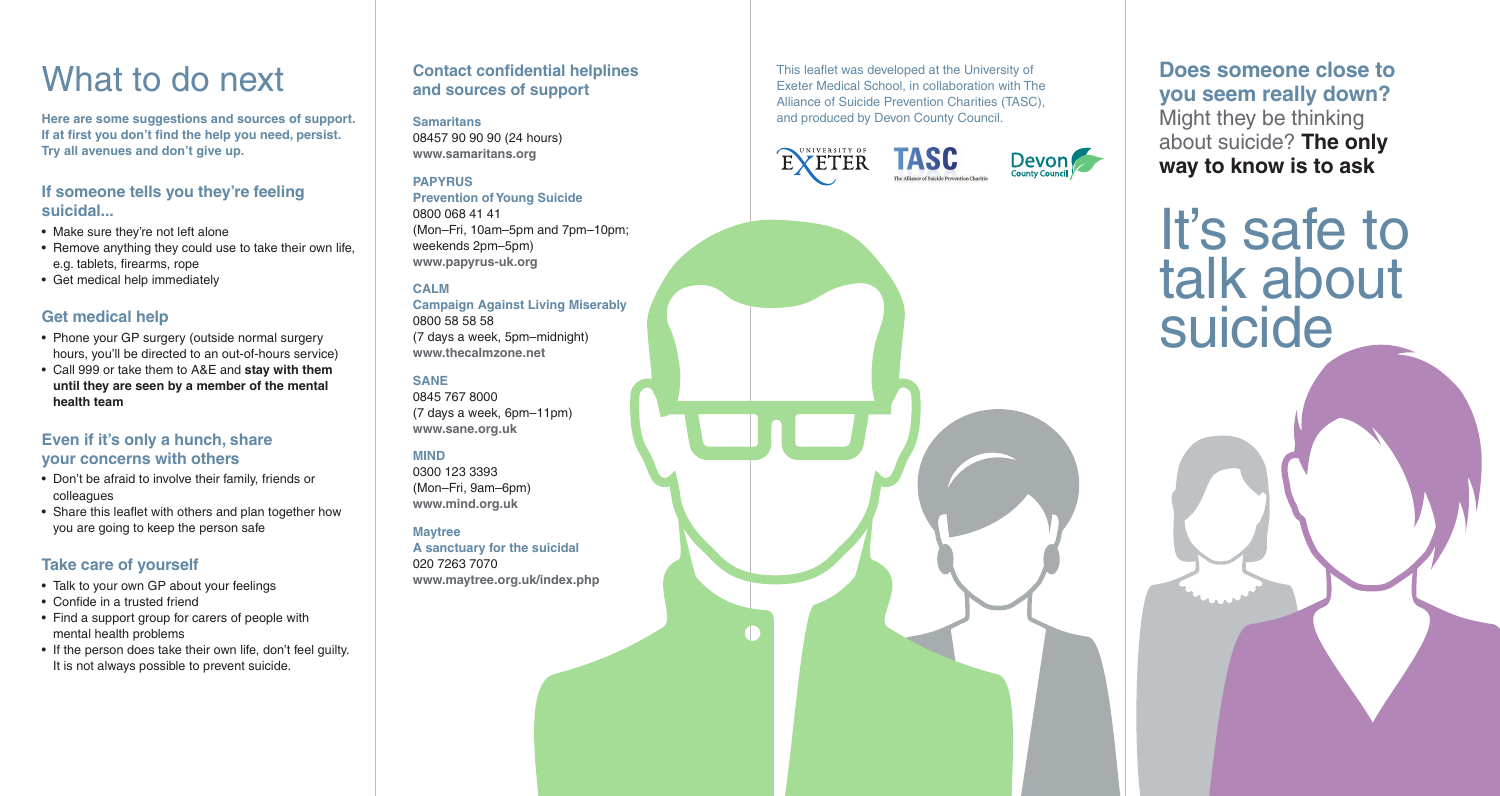### What to do next

**Here are some suggestions and sources of support. If at first you don't find the help you need, persist. Try all avenues and don't give up.**

#### **If someone tells you they're feeling suicidal...**

- Make sure they're not left alone
- Remove anything they could use to take their own life, e.g. tablets, firearms, rope
- Get medical help immediately

#### **Get medical help**

- Phone your GP surgery (outside normal surgery hours, you'll be directed to an out-of-hours service)
- Call 999 or take them to A&E and **stay with them until they are seen by a member of the mental health team**

#### **Even if it's only a hunch, share your concerns with others**

- Don't be afraid to involve their family, friends or colleagues
- Share this leaflet with others and plan together how you are going to keep the person safe

#### **Take care of yourself**

- Talk to your own GP about your feelings
- Confide in a trusted friend
- Find a support group for carers of people with mental health problems
- If the person does take their own life, don't feel quilty. It is not always possible to prevent suicide.

### **Contact confidential helplines and sources of support**

### **Samaritans**

08457 90 90 90 (24 hours) **www.samaritans.org**

#### **PAPYRUS**

**Prevention of Young Suicide** 0800 068 41 41 (Mon–Fri, 10am–5pm and 7pm–10pm; weekends 2pm–5pm) **www.papyrus-uk.org**

#### **CALM**

**Campaign Against Living Miserably** 0800 58 58 58 (7 days a week, 5pm–midnight) **www.thecalmzone.net**

#### **SANE**

0845 767 8000 (7 days a week, 6pm–11pm) **www.sane.org.uk**

#### **MIND**

0300 123 3393 (Mon–Fri, 9am–6pm) **www.mind.org.uk**

#### **Maytree**

**A sanctuary for the suicidal** 020 7263 7070 **www.maytree.org.uk/index.php** This leaflet was developed at the University of Exeter Medical School, in collaboration with The Alliance of Suicide Prevention Charities (TASC), and produced by Devon County Council.



**Does someone close to you seem really down?**  Might they be thinking about suicide? **The only way to know is to ask**

It's safe to talk about suicide